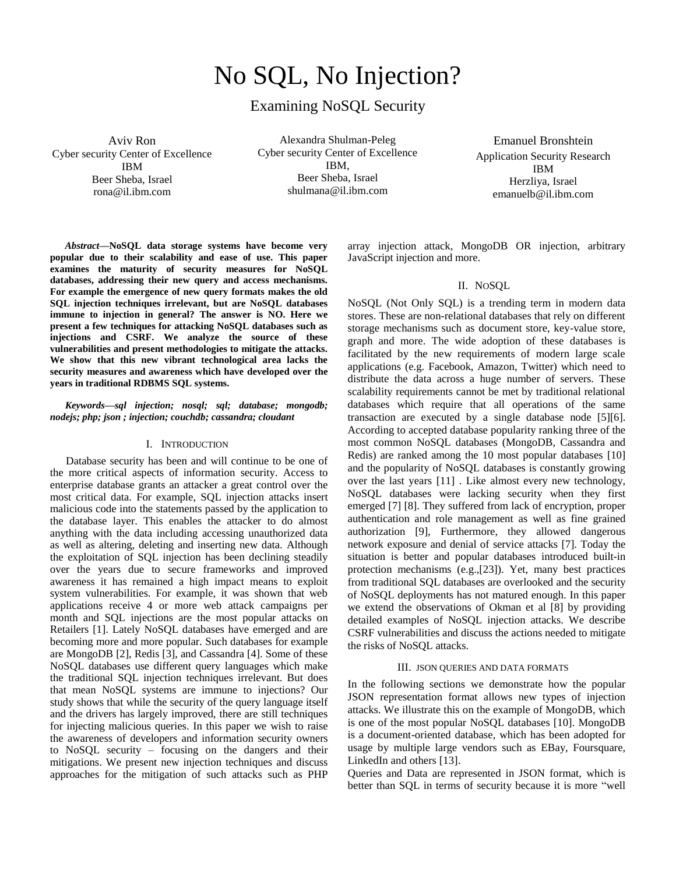# No SQL, No Injection?

# Examining NoSQL Security

Aviv Ron Cyber security Center of Excellence IBM Beer Sheba, Israel rona@il.ibm.com

Alexandra Shulman-Peleg Cyber security Center of Excellence IBM, Beer Sheba, Israel shulmana@il.ibm.com

Emanuel Bronshtein Application Security Research IBM Herzliya, Israel emanuelb@il.ibm.com

*Abstract***—NoSQL data storage systems have become very popular due to their scalability and ease of use. This paper examines the maturity of security measures for NoSQL databases, addressing their new query and access mechanisms. For example the emergence of new query formats makes the old SQL injection techniques irrelevant, but are NoSQL databases immune to injection in general? The answer is NO. Here we present a few techniques for attacking NoSQL databases such as injections and CSRF. We analyze the source of these vulnerabilities and present methodologies to mitigate the attacks. We show that this new vibrant technological area lacks the security measures and awareness which have developed over the years in traditional RDBMS SQL systems.** 

# *Keywords—sql injection; nosql; sql; database; mongodb; nodejs; php; json ; injection; couchdb; cassandra; cloudant*

#### I. INTRODUCTION

Database security has been and will continue to be one of the more critical aspects of information security. Access to enterprise database grants an attacker a great control over the most critical data. For example, SQL injection attacks insert malicious code into the statements passed by the application to the database layer. This enables the attacker to do almost anything with the data including accessing unauthorized data as well as altering, deleting and inserting new data. Although the exploitation of SQL injection has been declining steadily over the years due to secure frameworks and improved awareness it has remained a high impact means to exploit system vulnerabilities. For example, it was shown that web applications receive 4 or more web attack campaigns per month and SQL injections are the most popular attacks on Retailers [\[1\].](#page-3-0) Lately NoSQL databases have emerged and are becoming more and more popular. Such databases for example are MongoDB [\[2\],](#page-3-1) Redis [\[3\],](#page-3-2) and Cassandra [\[4\].](#page-3-3) Some of these NoSQL databases use different query languages which make the traditional SQL injection techniques irrelevant. But does that mean NoSQL systems are immune to injections? Our study shows that while the security of the query language itself and the drivers has largely improved, there are still techniques for injecting malicious queries. In this paper we wish to raise the awareness of developers and information security owners to NoSQL security – focusing on the dangers and their mitigations. We present new injection techniques and discuss approaches for the mitigation of such attacks such as PHP

array injection attack, MongoDB OR injection, arbitrary JavaScript injection and more.

# II. NOSQL

NoSQL (Not Only SQL) is a trending term in modern data stores. These are non-relational databases that rely on different storage mechanisms such as document store, key-value store, graph and more. The wide adoption of these databases is facilitated by the new requirements of modern large scale applications (e.g. Facebook, Amazon, Twitter) which need to distribute the data across a huge number of servers. These scalability requirements cannot be met by traditional relational databases which require that all operations of the same transaction are executed by a single database node [\[5\]\[6\].](#page-3-4) According to accepted database popularity ranking three of the most common NoSQL databases (MongoDB, Cassandra and Redis) are ranked among the 10 most popular databases [\[10\]](#page-3-5) and the popularity of NoSQL databases is constantly growing over the last years [\[11\]](#page-3-6) . Like almost every new technology, NoSQL databases were lacking security when they first emerged [\[7\]](#page-3-7) [\[8\].](#page-3-8) They suffered from lack of encryption, proper authentication and role management as well as fine grained authorization [\[9\],](#page-3-9) Furthermore, they allowed dangerous network exposure and denial of service attacks [\[7\].](#page-3-10) Today the situation is better and popular databases introduced built-in protection mechanisms (e.g.[,\[23\]\)](#page-3-11). Yet, many best practices from traditional SQL databases are overlooked and the security of NoSQL deployments has not matured enough. In this paper we extend the observations of Okman et al [\[8\]](#page-3-8) by providing detailed examples of NoSQL injection attacks. We describe CSRF vulnerabilities and discuss the actions needed to mitigate the risks of NoSQL attacks.

# III. JSON QUERIES AND DATA FORMATS

In the following sections we demonstrate how the popular JSON representation format allows new types of injection attacks. We illustrate this on the example of MongoDB, which is one of the most popular NoSQL databases [\[10\].](#page-3-5) MongoDB is a document-oriented database, which has been adopted for usage by multiple large vendors such as EBay, Foursquare, LinkedIn and others [\[13\].](#page-3-12)

Queries and Data are represented in JSON format, which is better than SQL in terms of security because it is more "well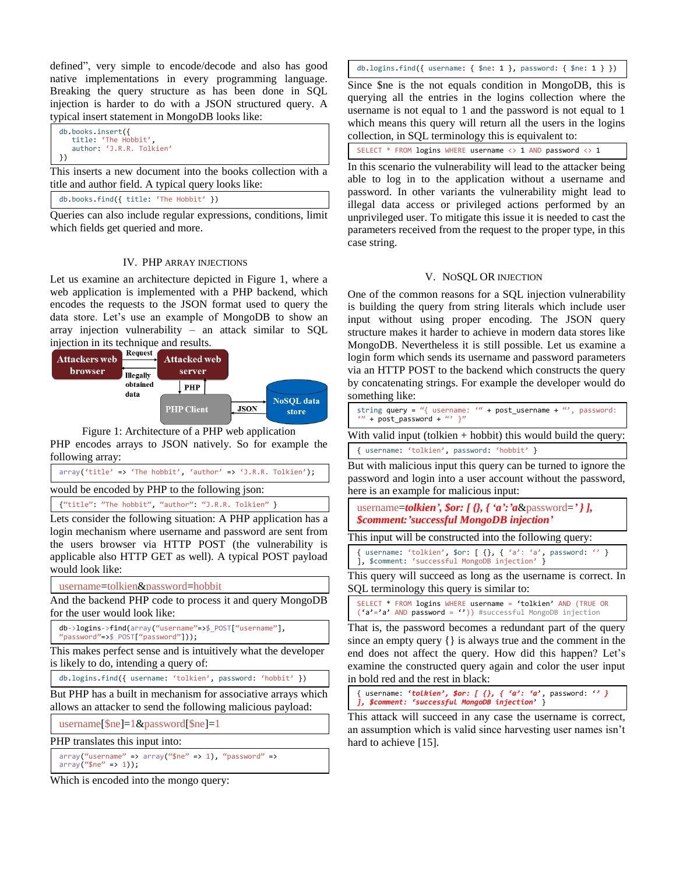defined", very simple to encode/decode and also has good native implementations in every programming language. Breaking the query structure as has been done in SQL injection is harder to do with a JSON structured query. A typical insert statement in MongoDB looks like:

```
db.books.insert({ 
    title: 'The Hobbit', 
    author: 'J.R.R. Tolkien'
})
```
This inserts a new document into the books collection with a title and author field. A typical query looks like:

```
db.books.find({ title: 'The Hobbit' })
```
Queries can also include regular expressions, conditions, limit which fields get queried and more.

# IV. PHP ARRAY INJECTIONS

Let us examine an architecture depicted in Figure 1, where a web application is implemented with a PHP backend, which encodes the requests to the JSON format used to query the data store. Let's use an example of MongoDB to show an array injection vulnerability – an attack similar to SQL



Figure 1: Architecture of a PHP web application PHP encodes arrays to JSON natively. So for example the following array:

|                                                | $array('title' => 'The hobby', 'author' => 'J.R.R. Tolkien');$ |  |  |  |  |
|------------------------------------------------|----------------------------------------------------------------|--|--|--|--|
| would be encoded by PHP to the following json: |                                                                |  |  |  |  |

{"title": "The hobbit", "author": "J.R.R. Tolkien" }

Lets consider the following situation: A PHP application has a login mechanism where username and password are sent from the users browser via HTTP POST (the vulnerability is applicable also HTTP GET as well). A typical POST payload would look like:

username=tolkien&password=hobbit

And the backend PHP code to process it and query MongoDB for the user would look like:

```
db->logins->find(array("username"=>$_POST["username"], 
"password"=>$_POST["password"]));
```
This makes perfect sense and is intuitively what the developer is likely to do, intending a query of:

db.logins.find({ username: 'tolkien', password: 'hobbit' })

But PHP has a built in mechanism for associative arrays which allows an attacker to send the following malicious payload:

username[\$ne]=1&password[\$ne]=1

PHP translates this input into:

 $array("username" => array("9ne" => 1)$ , "password" =>  $array("9n<sup>e</sup> = > 1));$ 

Which is encoded into the mongo query:

db.logins.find({ username: { \$ne: 1 }, password: { \$ne: 1 } })

Since \$ne is the not equals condition in MongoDB, this is querying all the entries in the logins collection where the username is not equal to 1 and the password is not equal to 1 which means this query will return all the users in the logins collection, in SQL terminology this is equivalent to:

SELECT \* FROM logins WHERE username <> 1 AND password <> 1

In this scenario the vulnerability will lead to the attacker being able to log in to the application without a username and password. In other variants the vulnerability might lead to illegal data access or privileged actions performed by an unprivileged user. To mitigate this issue it is needed to cast the parameters received from the request to the proper type, in this case string.

# V. NOSQL OR INJECTION

One of the common reasons for a SQL injection vulnerability is building the query from string literals which include user input without using proper encoding. The JSON query structure makes it harder to achieve in modern data stores like MongoDB. Nevertheless it is still possible. Let us examine a login form which sends its username and password parameters via an HTTP POST to the backend which constructs the query by concatenating strings. For example the developer would do something like:

With valid input (tolkien + hobbit) this would build the query: { username: 'tolkien', password: 'hobbit' }

But with malicious input this query can be turned to ignore the password and login into a user account without the password, here is an example for malicious input:

username=*tolkien', \$or: [ {}, { 'a':'a*&password=*' } ], \$comment:'successful MongoDB injection'*

This input will be constructed into the following query:

```
{ username: 'tolkien', $or: [ {}, { 'a': 'a', password: '' } 
], $comment: 'successful MongoDB injection' }
```
This query will succeed as long as the username is correct. In SQL terminology this query is similar to:

SELECT \* FROM logins WHERE username = 'tolkien' AND (TRUE OR ('a'='a' AND password = '')) #successful MongoDB injection

That is, the password becomes a redundant part of the query since an empty query {} is always true and the comment in the end does not affect the query. How did this happen? Let's examine the constructed query again and color the user input in bold red and the rest in black:

{ username: '*tolkien', \$or: [ {}, { 'a': 'a*', password: '*' } ], \$comment: 'successful MongoDB injection*' }

This attack will succeed in any case the username is correct, an assumption which is valid since harvesting user names isn't hard to achieve [\[15\].](#page-3-13)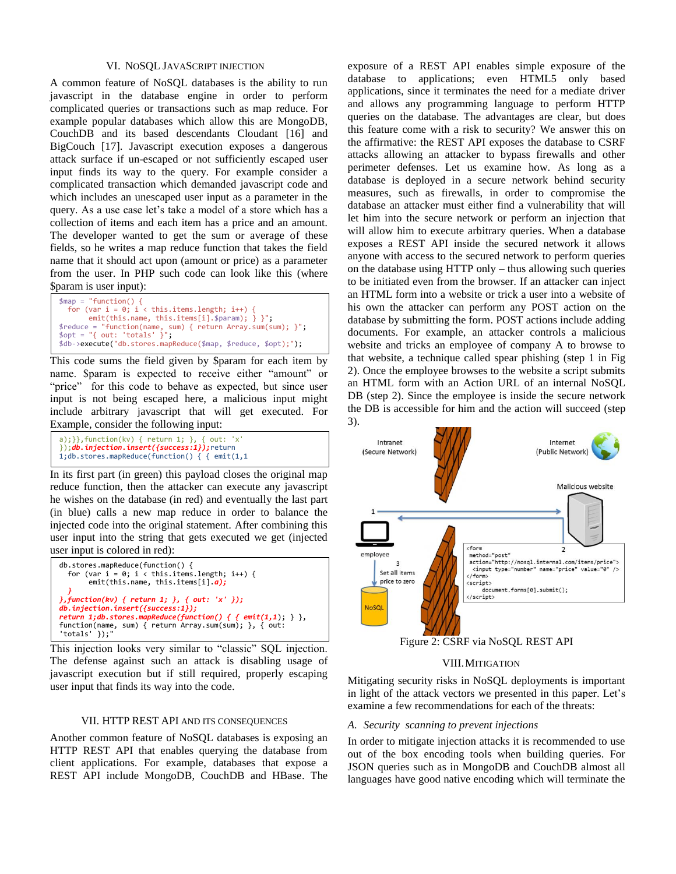#### VI. NOSQL JAVASCRIPT INJECTION

A common feature of NoSQL databases is the ability to run javascript in the database engine in order to perform complicated queries or transactions such as map reduce. For example popular databases which allow this are MongoDB, CouchDB and its based descendants Cloudant [\[16\]](#page-3-14) and BigCouch [\[17\].](#page-3-15) Javascript execution exposes a dangerous attack surface if un-escaped or not sufficiently escaped user input finds its way to the query. For example consider a complicated transaction which demanded javascript code and which includes an unescaped user input as a parameter in the query. As a use case let's take a model of a store which has a collection of items and each item has a price and an amount. The developer wanted to get the sum or average of these fields, so he writes a map reduce function that takes the field name that it should act upon (amount or price) as a parameter from the user. In PHP such code can look like this (where \$param is user input):

```
$map = "function() { 
 for (var i = 0; i < this.items.length; i++) {
        emit(this.name, this.items[i].$param); } }";
$reduce = "function(name, sum) { return Array.sum(sum); }"; 
$opt = "{ out: 'totals' }";
$db->execute("db.stores.mapReduce($map, $reduce, $opt);");
```
This code sums the field given by \$param for each item by name. \$param is expected to receive either "amount" or "price" for this code to behave as expected, but since user input is not being escaped here, a malicious input might include arbitrary javascript that will get executed. For Example, consider the following input:

```
a);}},function(kv) { return 1; }, { out: 'x' 
});db.injection.insert({success:1});return 
1;db.stores.mapReduce(function() { { emit(1,1
```
In its first part (in green) this payload closes the original map reduce function, then the attacker can execute any javascript he wishes on the database (in red) and eventually the last part (in blue) calls a new map reduce in order to balance the injected code into the original statement. After combining this user input into the string that gets executed we get (injected user input is colored in red):

```
db.stores.mapReduce(function() { 
  for (var i = 0; i < this.items.length; i+1) {
        emit(this.name, this.items[i].a);
 }
},function(kv) { return 1; }, { out: 'x' });
db.injection.insert({success:1});
return 1;db.stores.mapReduce(function() { { emit(1,1); } }, 
function(name, sum) { return Array.sum(sum); }, { out: 
'totals' \rbrace);
```
This injection looks very similar to "classic" SQL injection. The defense against such an attack is disabling usage of javascript execution but if still required, properly escaping user input that finds its way into the code.

# VII. HTTP REST API AND ITS CONSEQUENCES

Another common feature of NoSQL databases is exposing an HTTP REST API that enables querying the database from client applications. For example, databases that expose a REST API include MongoDB, CouchDB and HBase. The

exposure of a REST API enables simple exposure of the database to applications; even HTML5 only based applications, since it terminates the need for a mediate driver and allows any programming language to perform HTTP queries on the database. The advantages are clear, but does this feature come with a risk to security? We answer this on the affirmative: the REST API exposes the database to CSRF attacks allowing an attacker to bypass firewalls and other perimeter defenses. Let us examine how. As long as a database is deployed in a secure network behind security measures, such as firewalls, in order to compromise the database an attacker must either find a vulnerability that will let him into the secure network or perform an injection that will allow him to execute arbitrary queries. When a database exposes a REST API inside the secured network it allows anyone with access to the secured network to perform queries on the database using HTTP only – thus allowing such queries to be initiated even from the browser. If an attacker can inject an HTML form into a website or trick a user into a website of his own the attacker can perform any POST action on the database by submitting the form. POST actions include adding documents. For example, an attacker controls a malicious website and tricks an employee of company A to browse to that website, a technique called spear phishing (step 1 in Fig 2). Once the employee browses to the website a script submits an HTML form with an Action URL of an internal NoSQL DB (step 2). Since the employee is inside the secure network the DB is accessible for him and the action will succeed (step 3).



Figure 2: CSRF via NoSQL REST API

#### VIII.MITIGATION

Mitigating security risks in NoSQL deployments is important in light of the attack vectors we presented in this paper. Let's examine a few recommendations for each of the threats:

#### *A. Security scanning to prevent injections*

In order to mitigate injection attacks it is recommended to use out of the box encoding tools when building queries. For JSON queries such as in MongoDB and CouchDB almost all languages have good native encoding which will terminate the